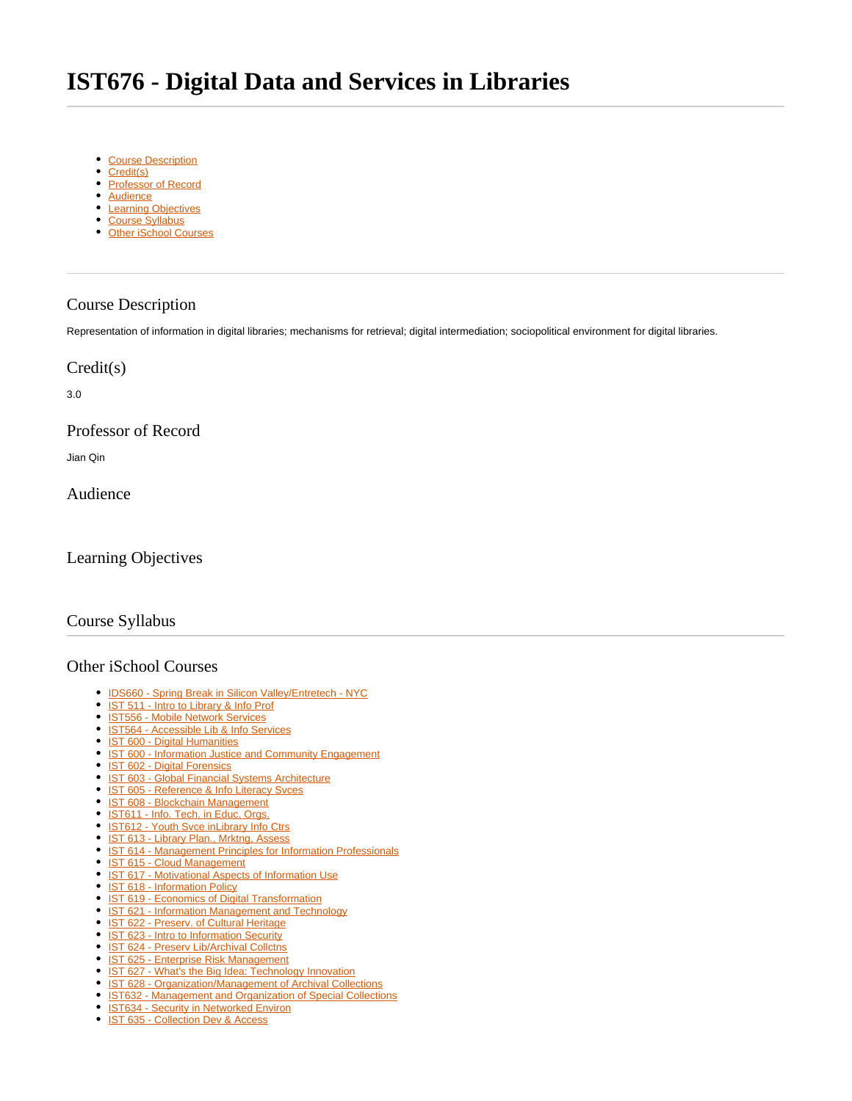# <span id="page-0-7"></span>**IST676 - Digital Data and Services in Libraries**

- [Course Description](#page-0-0)
- [Credit\(s\)](#page-0-1)
- [Professor of Record](#page-0-2)
- [Audience](#page-0-3)
- [Learning Objectives](#page-0-4)
- [Course Syllabus](#page-0-5)
- [Other iSchool Courses](#page-0-6)

## <span id="page-0-0"></span>Course Description

Representation of information in digital libraries; mechanisms for retrieval; digital intermediation; sociopolitical environment for digital libraries.

#### <span id="page-0-1"></span>Credit(s)

3.0

# <span id="page-0-2"></span>Professor of Record

Jian Qin

<span id="page-0-3"></span>Audience

## <span id="page-0-4"></span>Learning Objectives

## <span id="page-0-5"></span>Course Syllabus

#### <span id="page-0-6"></span>Other iSchool Courses

- $\bullet$ [IDS660 - Spring Break in Silicon Valley/Entretech - NYC](https://answers.syr.edu/pages/viewpage.action?pageId=105105587)
- $\bullet$ [IST 511 - Intro to Library & Info Prof](https://answers.syr.edu/pages/viewpage.action?pageId=105104273)
- [IST556 Mobile Network Services](https://answers.syr.edu/display/ischool/IST556+-+Mobile+Network+Services)
- **[IST564 Accessible Lib & Info Services](https://answers.syr.edu/pages/viewpage.action?pageId=105104276)**
- [IST 600 Digital Humanities](https://answers.syr.edu/display/ischool/IST+600+-+Digital+Humanities)
- <sup>o</sup> [IST 600 Information Justice and Community Engagement](https://answers.syr.edu/display/ischool/IST+600+-+Information+Justice+and+Community+Engagement)
- <sup>•</sup> [IST 602 Digital Forensics](https://answers.syr.edu/display/ischool/IST+602+-+Digital+Forensics)
- [IST 603 Global Financial Systems Architecture](https://answers.syr.edu/display/ischool/IST+603+-+Global+Financial+Systems+Architecture)
- <sup>o</sup> [IST 605 Reference & Info Literacy Svces](https://answers.syr.edu/pages/viewpage.action?pageId=105104280)
- · [IST 608 Blockchain Management](https://answers.syr.edu/display/ischool/IST+608+-+Blockchain+Management)
- [IST611 Info. Tech. in Educ. Orgs.](https://answers.syr.edu/pages/viewpage.action?pageId=105104284)
- <sup>•</sup> [IST612 Youth Svce inLibrary Info Ctrs](https://answers.syr.edu/display/ischool/IST612+-+Youth+Svce+inLibrary+Info+Ctrs)
- [IST 613 Library Plan., Mrktng, Assess](https://answers.syr.edu/display/ischool/IST+613+-+Library+Plan.%2C+Mrktng%2C+Assess)
- [IST 614 Management Principles for Information Professionals](https://answers.syr.edu/display/ischool/IST+614+-+Management+Principles+for+Information+Professionals)
- [IST 615 Cloud Management](https://answers.syr.edu/display/ischool/IST+615+-+Cloud+Management)
- [IST 617 Motivational Aspects of Information Use](https://answers.syr.edu/display/ischool/IST+617+-+Motivational+Aspects+of+Information+Use)
- [IST 618 Information Policy](https://answers.syr.edu/display/ischool/IST+618+-+Information+Policy)
- [IST 619 Economics of Digital Transformation](https://answers.syr.edu/display/ischool/IST+619+-+Economics+of+Digital+Transformation)
- <sup>o</sup> [IST 621 Information Management and Technology](https://answers.syr.edu/display/ischool/IST+621+-+Information+Management+and+Technology)
- <sup>o</sup> [IST 622 Preserv. of Cultural Heritage](https://answers.syr.edu/display/ischool/IST+622+-+Preserv.+of+Cultural+Heritage)
- <sup>o</sup> [IST 623 Intro to Information Security](https://answers.syr.edu/display/ischool/IST+623+-+Intro+to+Information+Security)
- [IST 624 Preserv Lib/Archival Collctns](https://answers.syr.edu/pages/viewpage.action?pageId=118791180)
- **[IST 625 Enterprise Risk Management](https://answers.syr.edu/display/ischool/IST+625+-+Enterprise+Risk+Management)**
- <sup>o</sup> [IST 627 What's the Big Idea: Technology Innovation](https://answers.syr.edu/display/ischool/IST+627+-+What%27s+the+Big+Idea%3A+Technology+Innovation)
- [IST 628 Organization/Management of Archival Collections](https://answers.syr.edu/pages/viewpage.action?pageId=105104315)
- **[IST632 Management and Organization of Special Collections](https://answers.syr.edu/display/ischool/IST632+-+Management+and+Organization+of+Special+Collections)**
- <sup>•</sup> [IST634 Security in Networked Environ](https://answers.syr.edu/display/ischool/IST634+-+Security+in+Networked+Environ) • [IST 635 - Collection Dev & Access](https://answers.syr.edu/pages/viewpage.action?pageId=105104321)